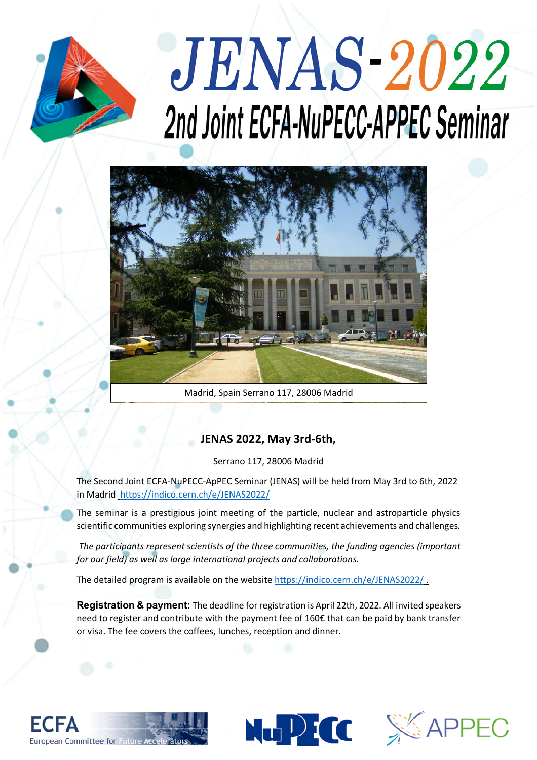

## **JENAS-2022** 2nd Joint ECFA-NuPECC-APPEC Seminar



Madrid, Spain Serrano 117, 28006 Madrid

## **JENAS 2022, May 3rd-6th,**

Serrano 117, 28006 Madrid

The Second Joint ECFA-NuPECC-ApPEC Seminar (JENAS) will be held from May 3rd to 6th, 2022 in Madrid https://indico.cern.ch/e/JENAS2022/

The seminar is a prestigious joint meeting of the particle, nuclear and astroparticle physics scientific communities exploring synergies and highlighting recent achievements and challenges*.* 

*The participants represent scientists of the three communities, the funding agencies (important for our field) as well as large international projects and collaborations.*

The detailed program is available on the website https://indico.cern.ch/e/JENAS2022/ .

**Registration & payment:** The deadline for registration is April 22th, 2022. All invited speakers need to register and contribute with the payment fee of 160€ that can be paid by bank transfer or visa. The fee covers the coffees, lunches, reception and dinner.